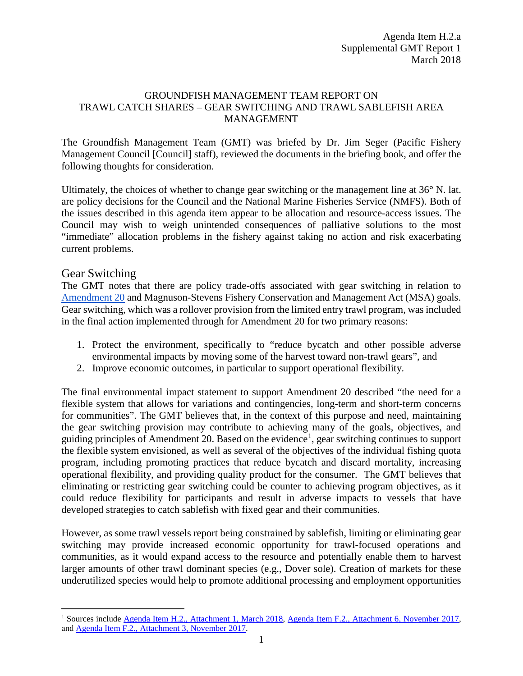## GROUNDFISH MANAGEMENT TEAM REPORT ON TRAWL CATCH SHARES – GEAR SWITCHING AND TRAWL SABLEFISH AREA MANAGEMENT

The Groundfish Management Team (GMT) was briefed by Dr. Jim Seger (Pacific Fishery Management Council [Council] staff), reviewed the documents in the briefing book, and offer the following thoughts for consideration.

Ultimately, the choices of whether to change gear switching or the management line at 36° N. lat. are policy decisions for the Council and the National Marine Fisheries Service (NMFS). Both of the issues described in this agenda item appear to be allocation and resource-access issues. The Council may wish to weigh unintended consequences of palliative solutions to the most "immediate" allocation problems in the fishery against taking no action and risk exacerbating current problems.

## Gear Switching

The GMT notes that there are policy trade-offs associated with gear switching in relation to [Amendment 20](https://www.pcouncil.org/groundfish/fishery-management-plan/fmp-amendment-20/) and Magnuson-Stevens Fishery Conservation and Management Act (MSA) goals. Gear switching, which was a rollover provision from the limited entry trawl program, was included in the final action implemented through for Amendment 20 for two primary reasons:

- 1. Protect the environment, specifically to "reduce bycatch and other possible adverse environmental impacts by moving some of the harvest toward non-trawl gears", and
- 2. Improve economic outcomes, in particular to support operational flexibility.

The final environmental impact statement to support Amendment 20 described "the need for a flexible system that allows for variations and contingencies, long-term and short-term concerns for communities". The GMT believes that, in the context of this purpose and need, maintaining the gear switching provision may contribute to achieving many of the goals, objectives, and guiding principles of Amendment 20. Based on the evidence<sup>[1](#page-0-0)</sup>, gear switching continues to support the flexible system envisioned, as well as several of the objectives of the individual fishing quota program, including promoting practices that reduce bycatch and discard mortality, increasing operational flexibility, and providing quality product for the consumer. The GMT believes that eliminating or restricting gear switching could be counter to achieving program objectives, as it could reduce flexibility for participants and result in adverse impacts to vessels that have developed strategies to catch sablefish with fixed gear and their communities.

However, as some trawl vessels report being constrained by sablefish, limiting or eliminating gear switching may provide increased economic opportunity for trawl-focused operations and communities, as it would expand access to the resource and potentially enable them to harvest larger amounts of other trawl dominant species (e.g., Dover sole). Creation of markets for these underutilized species would help to promote additional processing and employment opportunities

<span id="page-0-0"></span><sup>&</sup>lt;sup>1</sup> Sources include [Agenda Item H.2., Attachment 1, March 2018,](https://www.pcouncil.org/wp-content/uploads/2018/02/H2_Att1_Sablefish_GSArea_MAR2018BB.pdf) [Agenda Item F.2., Attachment 6, November 2017,](http://www.pcouncil.org/wp-content/uploads/2017/10/F2_Att6_FollowOnActions_NOV2017BB.pdf) and [Agenda Item F.2., Attachment 3, November 2017.](http://www.pcouncil.org/wp-content/uploads/2017/10/F2_Att3__E-Only_5Year_Review_August_Draft_for_public_review_NOV2017BB.pdf)